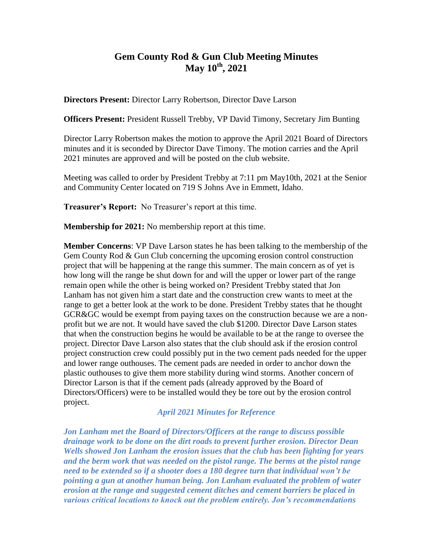## **Gem County Rod & Gun Club Meeting Minutes May 10th, 2021**

**Directors Present:** Director Larry Robertson, Director Dave Larson

**Officers Present:** President Russell Trebby, VP David Timony, Secretary Jim Bunting

Director Larry Robertson makes the motion to approve the April 2021 Board of Directors minutes and it is seconded by Director Dave Timony. The motion carries and the April 2021 minutes are approved and will be posted on the club website.

Meeting was called to order by President Trebby at 7:11 pm May10th, 2021 at the Senior and Community Center located on 719 S Johns Ave in Emmett, Idaho.

**Treasurer's Report:** No Treasurer's report at this time.

**Membership for 2021:** No membership report at this time.

**Member Concerns**: VP Dave Larson states he has been talking to the membership of the Gem County Rod & Gun Club concerning the upcoming erosion control construction project that will be happening at the range this summer. The main concern as of yet is how long will the range be shut down for and will the upper or lower part of the range remain open while the other is being worked on? President Trebby stated that Jon Lanham has not given him a start date and the construction crew wants to meet at the range to get a better look at the work to be done. President Trebby states that he thought GCR&GC would be exempt from paying taxes on the construction because we are a nonprofit but we are not. It would have saved the club \$1200. Director Dave Larson states that when the construction begins he would be available to be at the range to oversee the project. Director Dave Larson also states that the club should ask if the erosion control project construction crew could possibly put in the two cement pads needed for the upper and lower range outhouses. The cement pads are needed in order to anchor down the plastic outhouses to give them more stability during wind storms. Another concern of Director Larson is that if the cement pads (already approved by the Board of Directors/Officers) were to be installed would they be tore out by the erosion control project.

## *April 2021 Minutes for Reference*

*Jon Lanham met the Board of Directors/Officers at the range to discuss possible drainage work to be done on the dirt roads to prevent further erosion. Director Dean Wells showed Jon Lanham the erosion issues that the club has been fighting for years and the berm work that was needed on the pistol range. The berms at the pistol range need to be extended so if a shooter does a 180 degree turn that individual won't be pointing a gun at another human being. Jon Lanham evaluated the problem of water erosion at the range and suggested cement ditches and cement barriers be placed in various critical locations to knock out the problem entirely. Jon's recommendations*